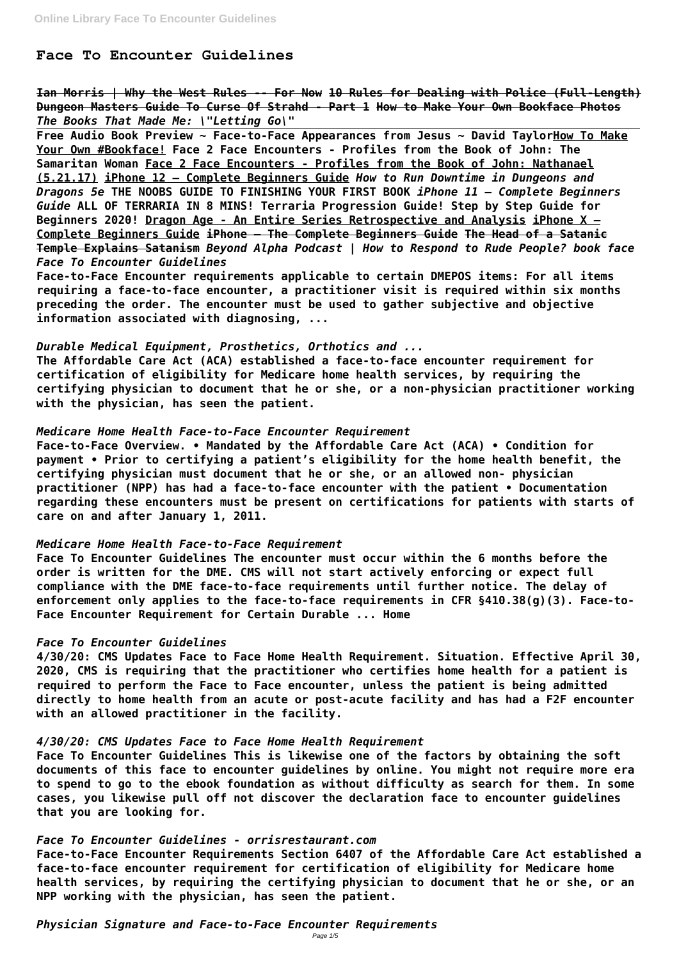# **Face To Encounter Guidelines**

**Ian Morris | Why the West Rules -- For Now 10 Rules for Dealing with Police (Full-Length) Dungeon Masters Guide To Curse Of Strahd - Part 1 How to Make Your Own Bookface Photos** *The Books That Made Me: \"Letting Go\"*

**Free Audio Book Preview ~ Face-to-Face Appearances from Jesus ~ David TaylorHow To Make Your Own #Bookface! Face 2 Face Encounters - Profiles from the Book of John: The Samaritan Woman Face 2 Face Encounters - Profiles from the Book of John: Nathanael (5.21.17) iPhone 12 – Complete Beginners Guide** *How to Run Downtime in Dungeons and Dragons 5e* **THE NOOBS GUIDE TO FINISHING YOUR FIRST BOOK** *iPhone 11 – Complete Beginners Guide* **ALL OF TERRARIA IN 8 MINS! Terraria Progression Guide! Step by Step Guide for Beginners 2020! Dragon Age - An Entire Series Retrospective and Analysis iPhone X – Complete Beginners Guide iPhone – The Complete Beginners Guide The Head of a Satanic Temple Explains Satanism** *Beyond Alpha Podcast | How to Respond to Rude People? book face Face To Encounter Guidelines*

**Face-to-Face Encounter requirements applicable to certain DMEPOS items: For all items requiring a face-to-face encounter, a practitioner visit is required within six months preceding the order. The encounter must be used to gather subjective and objective information associated with diagnosing, ...**

### *Durable Medical Equipment, Prosthetics, Orthotics and ...*

**The Affordable Care Act (ACA) established a face-to-face encounter requirement for certification of eligibility for Medicare home health services, by requiring the certifying physician to document that he or she, or a non-physician practitioner working with the physician, has seen the patient.**

## *Medicare Home Health Face-to-Face Encounter Requirement*

**Face-to-Face Overview. • Mandated by the Affordable Care Act (ACA) • Condition for payment • Prior to certifying a patient's eligibility for the home health benefit, the certifying physician must document that he or she, or an allowed non- physician practitioner (NPP) has had a face-to-face encounter with the patient • Documentation regarding these encounters must be present on certifications for patients with starts of care on and after January 1, 2011.**

## *Medicare Home Health Face-to-Face Requirement*

**Face To Encounter Guidelines The encounter must occur within the 6 months before the order is written for the DME. CMS will not start actively enforcing or expect full compliance with the DME face-to-face requirements until further notice. The delay of enforcement only applies to the face-to-face requirements in CFR §410.38(g)(3). Face-to-Face Encounter Requirement for Certain Durable ... Home**

# *Face To Encounter Guidelines*

**4/30/20: CMS Updates Face to Face Home Health Requirement. Situation. Effective April 30, 2020, CMS is requiring that the practitioner who certifies home health for a patient is required to perform the Face to Face encounter, unless the patient is being admitted directly to home health from an acute or post-acute facility and has had a F2F encounter with an allowed practitioner in the facility.**

*4/30/20: CMS Updates Face to Face Home Health Requirement*

**Face To Encounter Guidelines This is likewise one of the factors by obtaining the soft documents of this face to encounter guidelines by online. You might not require more era to spend to go to the ebook foundation as without difficulty as search for them. In some cases, you likewise pull off not discover the declaration face to encounter guidelines that you are looking for.**

## *Face To Encounter Guidelines - orrisrestaurant.com*

**Face-to-Face Encounter Requirements Section 6407 of the Affordable Care Act established a face-to-face encounter requirement for certification of eligibility for Medicare home health services, by requiring the certifying physician to document that he or she, or an NPP working with the physician, has seen the patient.**

*Physician Signature and Face-to-Face Encounter Requirements*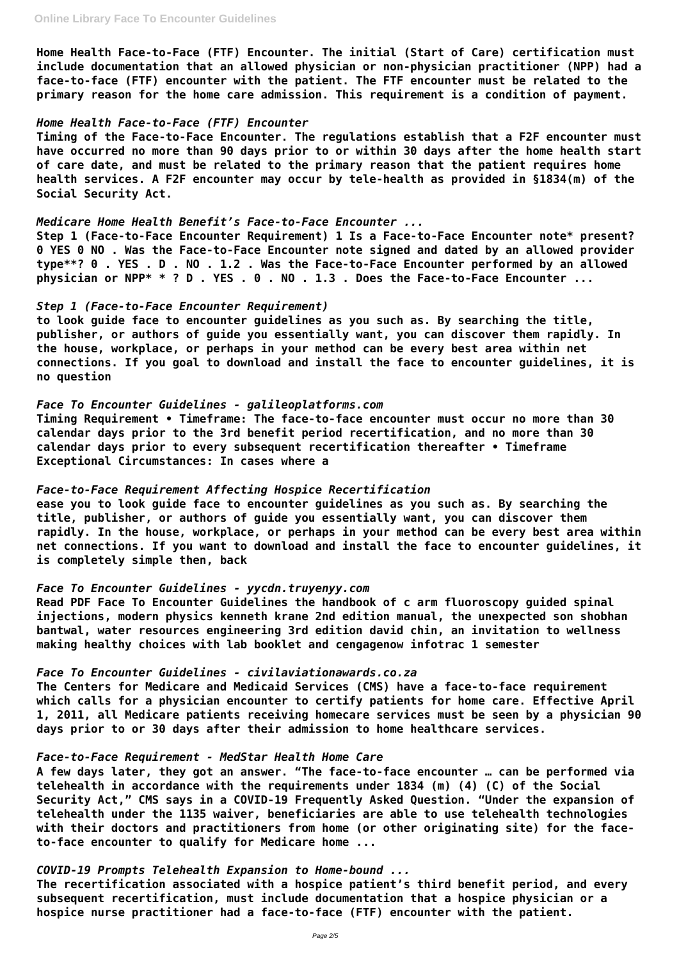**Home Health Face-to-Face (FTF) Encounter. The initial (Start of Care) certification must include documentation that an allowed physician or non-physician practitioner (NPP) had a face-to-face (FTF) encounter with the patient. The FTF encounter must be related to the primary reason for the home care admission. This requirement is a condition of payment.**

### *Home Health Face-to-Face (FTF) Encounter*

**Timing of the Face-to-Face Encounter. The regulations establish that a F2F encounter must have occurred no more than 90 days prior to or within 30 days after the home health start of care date, and must be related to the primary reason that the patient requires home health services. A F2F encounter may occur by tele-health as provided in §1834(m) of the Social Security Act.**

#### *Medicare Home Health Benefit's Face-to-Face Encounter ...*

**Step 1 (Face-to-Face Encounter Requirement) 1 Is a Face-to-Face Encounter note\* present? 0 YES 0 NO . Was the Face-to-Face Encounter note signed and dated by an allowed provider type\*\*? 0 . YES . D . NO . 1.2 . Was the Face-to-Face Encounter performed by an allowed physician or NPP\* \* ? D . YES . 0 . NO . 1.3 . Does the Face-to-Face Encounter ...**

### *Step 1 (Face-to-Face Encounter Requirement)*

**to look guide face to encounter guidelines as you such as. By searching the title, publisher, or authors of guide you essentially want, you can discover them rapidly. In the house, workplace, or perhaps in your method can be every best area within net connections. If you goal to download and install the face to encounter guidelines, it is no question**

### *Face To Encounter Guidelines - galileoplatforms.com*

**Timing Requirement • Timeframe: The face-to-face encounter must occur no more than 30 calendar days prior to the 3rd benefit period recertification, and no more than 30 calendar days prior to every subsequent recertification thereafter • Timeframe Exceptional Circumstances: In cases where a**

### *Face-to-Face Requirement Affecting Hospice Recertification*

**ease you to look guide face to encounter guidelines as you such as. By searching the title, publisher, or authors of guide you essentially want, you can discover them rapidly. In the house, workplace, or perhaps in your method can be every best area within net connections. If you want to download and install the face to encounter guidelines, it is completely simple then, back**

### *Face To Encounter Guidelines - yycdn.truyenyy.com*

**Read PDF Face To Encounter Guidelines the handbook of c arm fluoroscopy guided spinal injections, modern physics kenneth krane 2nd edition manual, the unexpected son shobhan bantwal, water resources engineering 3rd edition david chin, an invitation to wellness making healthy choices with lab booklet and cengagenow infotrac 1 semester**

# *Face To Encounter Guidelines - civilaviationawards.co.za*

**The Centers for Medicare and Medicaid Services (CMS) have a face-to-face requirement which calls for a physician encounter to certify patients for home care. Effective April 1, 2011, all Medicare patients receiving homecare services must be seen by a physician 90 days prior to or 30 days after their admission to home healthcare services.**

### *Face-to-Face Requirement - MedStar Health Home Care*

**A few days later, they got an answer. "The face-to-face encounter … can be performed via telehealth in accordance with the requirements under 1834 (m) (4) (C) of the Social Security Act," CMS says in a COVID-19 Frequently Asked Question. "Under the expansion of telehealth under the 1135 waiver, beneficiaries are able to use telehealth technologies with their doctors and practitioners from home (or other originating site) for the faceto-face encounter to qualify for Medicare home ...**

*COVID-19 Prompts Telehealth Expansion to Home-bound ...* **The recertification associated with a hospice patient's third benefit period, and every subsequent recertification, must include documentation that a hospice physician or a hospice nurse practitioner had a face-to-face (FTF) encounter with the patient.**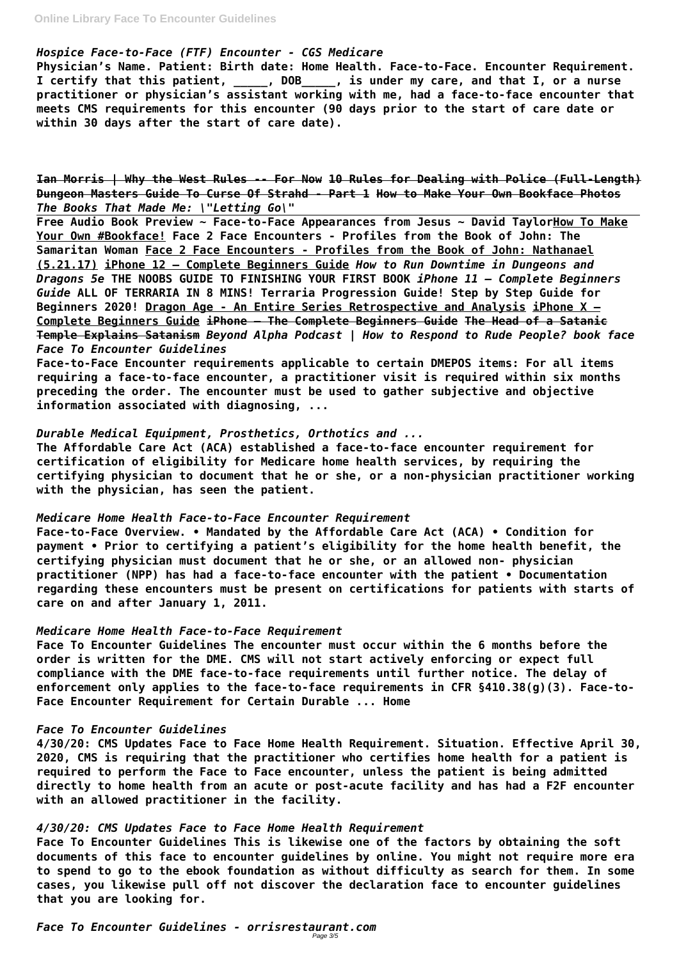# *Hospice Face-to-Face (FTF) Encounter - CGS Medicare*

**Physician's Name. Patient: Birth date: Home Health. Face-to-Face. Encounter Requirement. I certify that this patient, \_\_\_\_\_, DOB\_\_\_\_\_, is under my care, and that I, or a nurse practitioner or physician's assistant working with me, had a face-to-face encounter that meets CMS requirements for this encounter (90 days prior to the start of care date or within 30 days after the start of care date).**

**Ian Morris | Why the West Rules -- For Now 10 Rules for Dealing with Police (Full-Length) Dungeon Masters Guide To Curse Of Strahd - Part 1 How to Make Your Own Bookface Photos** *The Books That Made Me: \"Letting Go\"*

**Free Audio Book Preview ~ Face-to-Face Appearances from Jesus ~ David TaylorHow To Make Your Own #Bookface! Face 2 Face Encounters - Profiles from the Book of John: The Samaritan Woman Face 2 Face Encounters - Profiles from the Book of John: Nathanael (5.21.17) iPhone 12 – Complete Beginners Guide** *How to Run Downtime in Dungeons and Dragons 5e* **THE NOOBS GUIDE TO FINISHING YOUR FIRST BOOK** *iPhone 11 – Complete Beginners Guide* **ALL OF TERRARIA IN 8 MINS! Terraria Progression Guide! Step by Step Guide for Beginners 2020! Dragon Age - An Entire Series Retrospective and Analysis iPhone X – Complete Beginners Guide iPhone – The Complete Beginners Guide The Head of a Satanic Temple Explains Satanism** *Beyond Alpha Podcast | How to Respond to Rude People? book face Face To Encounter Guidelines*

**Face-to-Face Encounter requirements applicable to certain DMEPOS items: For all items requiring a face-to-face encounter, a practitioner visit is required within six months preceding the order. The encounter must be used to gather subjective and objective information associated with diagnosing, ...**

### *Durable Medical Equipment, Prosthetics, Orthotics and ...*

*Face To Encounter Guidelines - orrisrestaurant.com* Page 3/5

**The Affordable Care Act (ACA) established a face-to-face encounter requirement for certification of eligibility for Medicare home health services, by requiring the certifying physician to document that he or she, or a non-physician practitioner working with the physician, has seen the patient.**

### *Medicare Home Health Face-to-Face Encounter Requirement*

**Face-to-Face Overview. • Mandated by the Affordable Care Act (ACA) • Condition for payment • Prior to certifying a patient's eligibility for the home health benefit, the certifying physician must document that he or she, or an allowed non- physician practitioner (NPP) has had a face-to-face encounter with the patient • Documentation regarding these encounters must be present on certifications for patients with starts of care on and after January 1, 2011.**

### *Medicare Home Health Face-to-Face Requirement*

**Face To Encounter Guidelines The encounter must occur within the 6 months before the order is written for the DME. CMS will not start actively enforcing or expect full compliance with the DME face-to-face requirements until further notice. The delay of enforcement only applies to the face-to-face requirements in CFR §410.38(g)(3). Face-to-Face Encounter Requirement for Certain Durable ... Home**

#### *Face To Encounter Guidelines*

**4/30/20: CMS Updates Face to Face Home Health Requirement. Situation. Effective April 30, 2020, CMS is requiring that the practitioner who certifies home health for a patient is required to perform the Face to Face encounter, unless the patient is being admitted directly to home health from an acute or post-acute facility and has had a F2F encounter with an allowed practitioner in the facility.**

*4/30/20: CMS Updates Face to Face Home Health Requirement*

**Face To Encounter Guidelines This is likewise one of the factors by obtaining the soft documents of this face to encounter guidelines by online. You might not require more era to spend to go to the ebook foundation as without difficulty as search for them. In some cases, you likewise pull off not discover the declaration face to encounter guidelines that you are looking for.**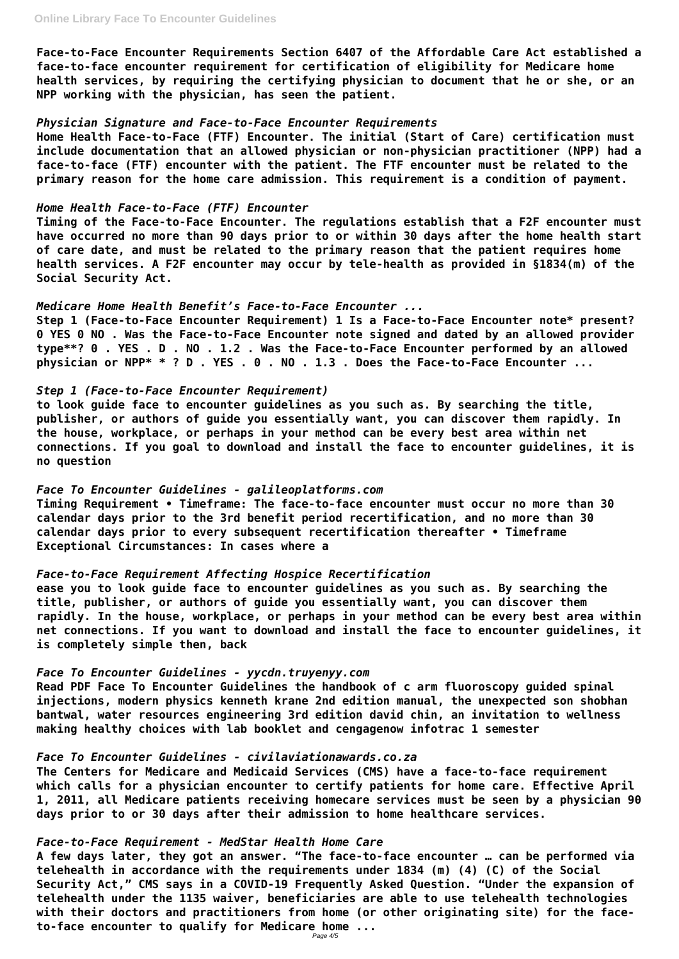**Face-to-Face Encounter Requirements Section 6407 of the Affordable Care Act established a face-to-face encounter requirement for certification of eligibility for Medicare home health services, by requiring the certifying physician to document that he or she, or an NPP working with the physician, has seen the patient.**

### *Physician Signature and Face-to-Face Encounter Requirements*

**Home Health Face-to-Face (FTF) Encounter. The initial (Start of Care) certification must include documentation that an allowed physician or non-physician practitioner (NPP) had a face-to-face (FTF) encounter with the patient. The FTF encounter must be related to the primary reason for the home care admission. This requirement is a condition of payment.**

### *Home Health Face-to-Face (FTF) Encounter*

**Timing of the Face-to-Face Encounter. The regulations establish that a F2F encounter must have occurred no more than 90 days prior to or within 30 days after the home health start of care date, and must be related to the primary reason that the patient requires home health services. A F2F encounter may occur by tele-health as provided in §1834(m) of the Social Security Act.**

### *Medicare Home Health Benefit's Face-to-Face Encounter ...*

**Step 1 (Face-to-Face Encounter Requirement) 1 Is a Face-to-Face Encounter note\* present? 0 YES 0 NO . Was the Face-to-Face Encounter note signed and dated by an allowed provider type\*\*? 0 . YES . D . NO . 1.2 . Was the Face-to-Face Encounter performed by an allowed physician or NPP\* \* ? D . YES . 0 . NO . 1.3 . Does the Face-to-Face Encounter ...**

## *Step 1 (Face-to-Face Encounter Requirement)*

**to look guide face to encounter guidelines as you such as. By searching the title, publisher, or authors of guide you essentially want, you can discover them rapidly. In the house, workplace, or perhaps in your method can be every best area within net connections. If you goal to download and install the face to encounter guidelines, it is no question**

## *Face To Encounter Guidelines - galileoplatforms.com*

**Timing Requirement • Timeframe: The face-to-face encounter must occur no more than 30 calendar days prior to the 3rd benefit period recertification, and no more than 30 calendar days prior to every subsequent recertification thereafter • Timeframe Exceptional Circumstances: In cases where a**

## *Face-to-Face Requirement Affecting Hospice Recertification*

**ease you to look guide face to encounter guidelines as you such as. By searching the title, publisher, or authors of guide you essentially want, you can discover them rapidly. In the house, workplace, or perhaps in your method can be every best area within net connections. If you want to download and install the face to encounter guidelines, it is completely simple then, back**

### *Face To Encounter Guidelines - yycdn.truyenyy.com*

**Read PDF Face To Encounter Guidelines the handbook of c arm fluoroscopy guided spinal injections, modern physics kenneth krane 2nd edition manual, the unexpected son shobhan bantwal, water resources engineering 3rd edition david chin, an invitation to wellness making healthy choices with lab booklet and cengagenow infotrac 1 semester**

*Face To Encounter Guidelines - civilaviationawards.co.za* **The Centers for Medicare and Medicaid Services (CMS) have a face-to-face requirement which calls for a physician encounter to certify patients for home care. Effective April 1, 2011, all Medicare patients receiving homecare services must be seen by a physician 90 days prior to or 30 days after their admission to home healthcare services.**

#### *Face-to-Face Requirement - MedStar Health Home Care*

**A few days later, they got an answer. "The face-to-face encounter … can be performed via telehealth in accordance with the requirements under 1834 (m) (4) (C) of the Social Security Act," CMS says in a COVID-19 Frequently Asked Question. "Under the expansion of telehealth under the 1135 waiver, beneficiaries are able to use telehealth technologies with their doctors and practitioners from home (or other originating site) for the faceto-face encounter to qualify for Medicare home ...**